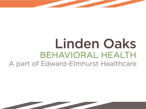# Linden Oaks **BEHAVIORAL HEALTH** A part of Edward-Elmhurst Healthcare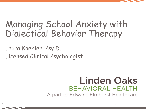# Managing School Anxiety with Dialectical Behavior Therapy

Laura Koehler, Psy.D. Licensed Clinical Psychologist

#### **Linden Oaks BEHAVIORAL HEALTH** A part of Edward-Elmhurst Healthcare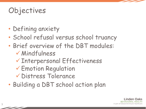## Objectives

- Defining anxiety
- School refusal versus school truancy
- Brief overview of the DBT modules:  $\nu$ Mindfulness
	- üInterpersonal Effectiveness
	- $\checkmark$  Emotion Regulation
	- **V** Distress Tolerance
- Building a DBT school action plan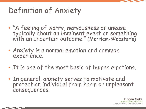## Definition of Anxiety

- "A feeling of worry, nervousness or unease typically about an imminent event or something with an uncertain outcome." (Merriam-Webster's)
- Anxiety is a normal emotion and common experience.
- It is one of the most basic of human emotions.
- In general, anxiety serves to motivate and protect an individual from harm or unpleasant consequences.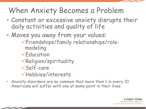#### When Anxiety Becomes a Problem

- Constant or excessive anxiety disrupts their daily activities and quality of life
- Moves you away from your values:
	- üFriendships/family relationships/rolemodeling
	- $\sqrt{E}$ ducation
	- $\sqrt{\mathsf{Religion/s}$ pirituality
	- $v$ Self-care
	- üHobbies/interests
- Anxiety disorders are so common that more than 1 in every 10 Americans will suffer with one at some point in their lives.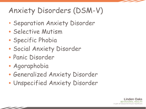## Anxiety Disorders (DSM-V)

- Separation Anxiety Disorder
- Selective Mutism
- Specific Phobia
- Social Anxiety Disorder
- Panic Disorder
- Agoraphobia
- Generalized Anxiety Disorder
- Unspecified Anxiety Disorder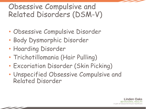#### Obsessive Compulsive and Related Disorders (DSM-V)

- Obsessive Compulsive Disorder
- Body Dysmorphic Disorder
- Hoarding Disorder
- Trichotillomania (Hair Pulling)
- Excoriation Disorder (Skin Picking)
- Unspecified Obsessive Compulsive and Related Disorder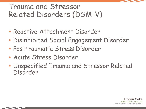#### Trauma and Stressor Related Disorders (DSM-V)

- Reactive Attachment Disorder
- Disinhibited Social Engagement Disorder
- Posttraumatic Stress Disorder
- Acute Stress Disorder
- Unspecified Trauma and Stressor Related Disorder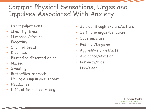#### Common Physical Sensations, Urges and Impulses Associated With Anxiety

- Heart palpitations
- Chest tightness
- Numbness/tingling
- Fidgeting
- Short of breath
- Dizziness
- Blurred or distorted vision
- Nausea
- Sweating
- Butterflies stomach
- Having a lump in your throat
- Headaches
- Difficulties concentrating
- Suicidal thoughts/plans/actions
- Self harm urges/behaviors
- Substance use
- Restrict/binge eat
- Aggressive urges/acts
- Avoidance/isolation
- Run away/hide
- Nap/sleep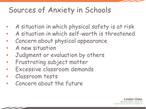## Sources of Anxiety in Schools

- A situation in which physical safety is at risk
- A situation in which self-worth is threatened
- Concern about physical appearance
- A new situation
- Judgment or evaluation by others
- Frustrating subject matter
- Excessive classroom demands
- Classroom tests
- Concern about the future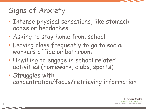## Signs of Anxiety

- Intense physical sensations, like stomach aches or headaches
- Asking to stay home from school
- Leaving class frequently to go to social workers office or bathroom
- Unwilling to engage in school related activities (homework, clubs, sports)
- Struggles with concentration/focus/retrieving information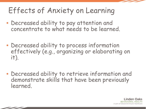## Effects of Anxiety on Learning

- Decreased ability to pay attention and concentrate to what needs to be learned.
- Decreased ability to process information effectively (e.g., organizing or elaborating on it).
- Decreased ability to retrieve information and demonstrate skills that have been previously learned.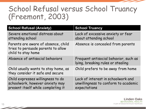#### School Refusal versus School Truancy (Freemont, 2003)

| <b>School Refusal (Anxiety)</b>                                                                            | <b>School Truancy</b>                                                                      |
|------------------------------------------------------------------------------------------------------------|--------------------------------------------------------------------------------------------|
| Severe emotional distress about<br>attending school                                                        | Lack of excessive anxiety or fear<br>about attending school                                |
| Parents are aware of absence, child<br>tries to persuade parents to allow<br>child to stay home            | Absence is concealed from parents                                                          |
| Absence of antisocial behaviors                                                                            | Frequent antisocial behavior, such as<br>lying, breaking rules or stealing                 |
| Child usually wants to stay home, as<br>they consider it safe and secure                                   | Child prefers to be away from home                                                         |
| Child expresses willingness to do<br>schoolwork, however anxiety may<br>present itself while completing it | Lack of interest in schoolwork and<br>unwillingness to conform to academic<br>expectations |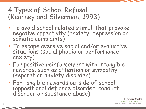#### 4 Types of School Refusal (Kearney and Silverman, 1993)

- To avoid school related stimuli that provoke negative affectivity (anxiety, depression or somatic complaints)
- To escape aversive social and/or evaluative situations (social phobia or performance anxiety)
- For positive reinforcement with intangible rewards, such as attention or sympathy (separation anxiety disorder)
- For tangible rewards outside of school (oppositional defiance disorder, conduct disorder or substance abuse)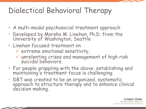## Dialectical Behavioral Therapy

- A multi-modal psychosocial treatment approach
- Developed by Marsha M. Linehan, Ph.D. from the University of Washington, Seattle
- Linehan focused treatment on
	- $\checkmark$  extreme emotional sensitivity,
	- $\checkmark$  unrelenting crises and management of high risk suicidal behaviors.
- For people grappling with the above, establishing and maintaining a treatment focus is challenging.
- DBT was created to be an organized, systematic approach to structure therapy and to enhance clinical decision making.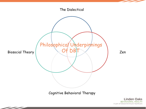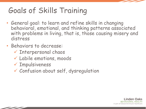## Goals of Skills Training

- General goal: to learn and refine skills in changing behavioral, emotional, and thinking patterns associated with problems in living, that is, those causing misery and distress
- Behaviors to decrease:
	- $\checkmark$  Interpersonal chaos
	- $V$  Labile emotions, moods
	- $\checkmark$  Impulsiveness
	- $\checkmark$  Confusion about self, dysregulation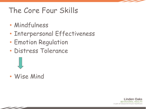## The Core Four Skills

- Mindfulness
- Interpersonal Effectiveness
- Emotion Regulation
- Distress Tolerance



• Wise Mind

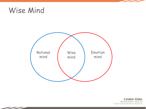#### Wise Mind



**Linden Oaks BEHAVIORAL HEALTH** A part of Edward-Elmhurst Healthcare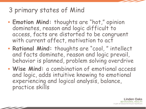#### 3 primary states of Mind

- **Emotion Mind:** thoughts are "hot," opinion dominates, reason and logic difficult to access, facts are distorted to be congruent with current affect, motivation to act
- **Rational Mind:** thoughts are "cool, " intellect and facts dominate, reason and logic prevail, behavior is planned, problem solving overdrive
- **Wise Mind:** a combination of emotional access and logic, adds intuitive knowing to emotional experiencing and logical analysis, balance, practice skills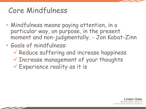## Core Mindfulness

- Mindfulness means paying attention, in a particular way, on purpose, in the present moment and non-judgmentally. - Jon Kabat-Zinn
- Goals of mindfulness:
	- $\checkmark$  Reduce suffering and increase happiness
	- $\checkmark$  Increase management of your thoughts
	- $\checkmark$  Experience reality as it is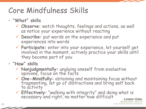## Core Mindfulness Skills

- **"What" skills**
	- ü **Observe:** watch thoughts, feelings and actions, as well as notice your experience without reacting
	- ü **Describe:** put words on the experience and put experiences into words
	- ü **Participate:** enter into your experience, let yourself get involved in the moment, actively practice your skills until they become part of you
- **"How" skills** 
	- ü **Nonjudgmentally:** ungluing oneself from evaluative opinions, focus on the facts
	- <sup>ü</sup> **One-Mindfully:** obtaining and maintaining focus without fragmenting, let go of distractions and bring self back to activity
	- ü **Effectively:** "walking with integrity" and doing what is necessary and right, no matter how difficult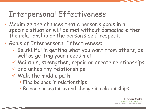## Interpersonal Effectiveness

- Maximize the chances that a person's goals in a specific situation will be met without damaging either the relationship or the person's self-respect.
- Goals of Interpersonal Effectiveness:
	- $\checkmark$  Be skillful in getting what you want from others, as well as getting your needs met
	- $\nu$  Maintain, strengthen, repair or create relationships
	- $\checkmark$  End unhealthy relationships
	- $V$  Walk the middle path
		- **Find balance in relationships**
		- **Balance acceptance and change in relationships**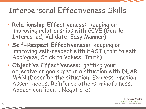## Interpersonal Effectiveness Skills

- **Relationship Effectiveness:** keeping or improving relationships with GIVE (Gentle, Interested, Validate, Easy Manner)
- **Self-Respect Effectiveness:** keeping or improving self-respect with FAST (Fair to self, Apologies, Stick to Values, Truth)
- **Objective Effectiveness:** getting your objective or goals met in a situation with DEAR MAN (Describe the situation, Express emotion, Assert needs, Reinforce others, mindfulness, Appear confident, Negotiate)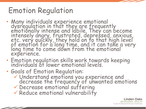## Emotion Regulation

- Many individuals experience emotional dysregulation in that they are frequently<br>emotionally intense and labile. They can become intensely angry, frustrated, depressed, anxious, etc. very quickly, they hold on to that high level of emotion for a long time, and it can take a very long time to come down from the emotional experience.
- Emotion regulation skills work towards keeping individuals at lower emotional levels.
- Goals of Emotion Regulation:
	- <sup>ü</sup> Understand emotions you experience and decrease the frequency of unwanted emotions
	- $\checkmark$  Decrease emotional suffering
	- $\checkmark$  Reduce emotional vulnerability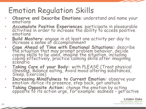## Emotion Regulation Skills

- **Observe and Describe Emotions**: understand and name your emotions
- **Accumulate Positive Experiences**: participate in pleasurable activities in order to increase the ability to access positive emotions
- **Build Mastery**: engage in at least one activity per day to increase a sense of accomplishment
- **Cope Ahead of Time with Emotional Situations:** describe the situation that may prompt problem behavior, decide coping skills to be used, imagine the situation, including coping effectively, practice calming skills after imagining scenario
- **Taking Care of your Body:** with PLEASE (Treat physical illnesses, Balance eating, Avoid mood altering substances, Sleep, Exercise)
- **Increasing Mindfulness to Current Emotion:** observe your emotion: notice its presence, step back, get unstuck
- **Taking Opposite Action:** change the emotion by acting opposite to its action urge, for example: sadness get active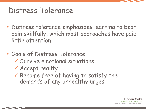#### Distress Tolerance

- Distress tolerance emphasizes learning to bear pain skillfully, which most approaches have paid little attention
- Goals of Distress Tolerance  $\checkmark$  Survive emotional situations  $\checkmark$  Accept reality  $\checkmark$  Become free of having to satisfy the demands of any unhealthy urges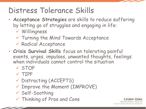#### Distress Tolerance Skills

- **Acceptance Strategies** are skills to reduce suffering by letting go of struggles and engaging in life:
	- $V$  Willingness
	- $\checkmark$  Turning the Mind Towards Acceptance
	- ü Radical Acceptance
- **Crisis Survival Skills** focus on tolerating painful events, urges, impulses, unwanted thoughts, feelings when individuals cannot control the situation

*inden* HAVIORAL A part of Edward-Elmhurst Healthcare

- ü STOP
- $V$  TIPP
- ü Distracting (ACCEPTS)
- $\checkmark$  Improve the Moment (IMPROVE)
- $\checkmark$  Self-Soothing
- $\checkmark$  Thinking of Pros and Cons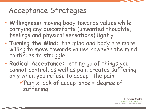#### Acceptance Strategies

- **Willingness:** moving body towards values while carrying any discomforts (unwanted thoughts, feelings and physical sensations) lightly
- **Turning the Mind:** the mind and body are more willing to move towards values however the mind continues to struggle
- **Radical Acceptance:** letting go of things you cannot control, as well as pain creates suffering only when you refuse to accept the pain

 $\sqrt{P}$ ain x lack of acceptance = degree of suffering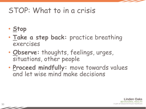#### STOP: What to in a crisis

- **Stop**
- **Take a step back:** practice breathing exercises
- **Observe:** thoughts, feelings, urges, situations, other people
- **Proceed mindfully:** move towards values and let wise mind make decisions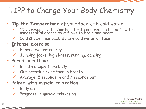# TIPP to Change Your Body Chemistry

- **Tip the Temperature** of your face with cold water
	- $\checkmark$  "Dive response" to slow heart rate and reduce blood flow to nonessential organs so it flows to brain and heart
	- $V$  Cold shower, ice pack, splash cold water on face

#### • **Intense exercise**

- $V$  Expend excess energy
- ü Jumping jacks, high knees, running, dancing

#### • **Paced breathing**

- $\checkmark$  Breath deeply from belly
- $\checkmark$  Out breath slower than in breath
- $\checkmark$  Average: 5 seconds in and 7 seconds out

#### • **Paired with muscle relaxation**

- $\checkmark$  Body scan
- $\checkmark$  Progressive muscle relaxation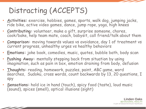# Distracting (ACCEPTS)

- **Activities:** exercise, hobbies, games, sports, walk dog, jumping jacks, ride bike, active video games, dance, jump rope, yoga, high knees
- **Contributing:** volunteer, make a gift, surprise someone, chores, cook/bake, help team mate, coach, babysit, call friend/talk about them
- **Comparison:** moving towards values vs avoidance, day 1 of treatment vs current progress, unhealthy urges vs healthy behaviors
- **Emotions:** joke book, comedies, music, quotes, bubble bath, body scan
- **Pushing Away:** mentally stepping back from situation by using imagination, such as pain in box, emotion draining from body, defusion
- **Thoughts:** reading, homework, puzzles, paint, ABC game, word searches, Sudoku, cross words, count backwards by 13, 20 questions, I spy
- **Sensations:** hold ice in hand (touch), spicy food (taste), loud music (sound), spices (smell), optical illusions (sight)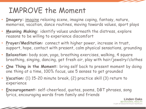### IMPROVE the Moment

- **Imagery:** imagine relaxing scene, imagine coping, fantasy, nature, memories, vacation, dance routines, moving towards values, sport plays
- **Meaning Making:** identify values underneath the distress, explore reasons to be willing to experience discomfort
- **Prayer/Meditation:** connect with higher power, increase in trust, support, hope, contact with present, calm physical sensations, grounding
- **Relaxation:** body scan, yoga, breathing exercises, walking, 4 square breathing, singing, dancing, get fresh air, play with hair/jewelry/clothes
- **One Thing in the Moment:** bring self back to present moment by doing one thing at a time, 100% focus, use 5 senses to get grounded
- **Vacation:** (1) 15-20 minute break, (2) practice skill (3) return to experience
- **Encouragement:** self-cheerlead, quotes, poems, DBT phrases, song lyrics, encouraging words from family and friends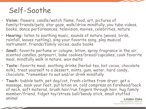#### Self-Soothe

- **Vision:** flowers, candle/watch flame, food, art, pictures of family/friends/pets, star gaze, walk/drive mindfully, you tube videos, books, dance performances, television, movies, celebrities, nature
- **Hearing:** listen to soothing music, sounds of nature (waves, birds, rainfall, leaves rustling), sing your favorite song, play musical instrument, friends/family voices, audio books
- **Smell:** favorite perfume or cologne, lotion, spray fragrance in the air, scented candles, potpourri, bake cookies/bread/cupcakes, cook favorite meal, mindfully walk in nature, wax melts
- **Taste:** favorite meal, soothing drinks (herbal tea, hot cocoa, chocolate milk), treat yourself to a dessert, mints, gum, water, hard candy, chocolate. \*remember to eat and/or drink mindfully
- **Touch:** bubble bath, pet dog/cat, fresh clothes from dryer, get a massage, soak your feet, put lotion on, cold compress on forehead/back of neck, soft material, brush hair/run fingers through hair, hug family member/friend, fidget toy/stress ball/bendy stick, small stuffed animalinden Oaks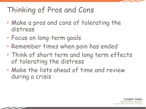## Thinking of Pros and Cons

- Make a pros and cons of tolerating the distress
- Focus on long-term goals
- Remember times when pain has ended
- Think of short term and long term effects of tolerating the distress
- Make the lists ahead of time and review during a crisis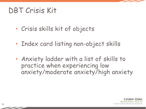#### DBT Crisis Kit

- Crisis skills kit of objects
- Index card listing non-object skills
- Anxiety ladder with a list of skills to practice when experiencing low anxiety/moderate anxiety/high anxiety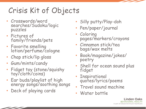# Crisis Kit of Objects

- Crosswords/word searches/Sudoku/logic puzzles
- Pictures of family/friends/pets
- Favorite smelling lotion/perfume/cologne
- Chap stick/lip gloss
- Gum/mints/candy
- Fidget toy (stone/squishy toy/cloth/coins)
- Ear buds/playlist of high energy songs/soothing songs
- Deck of playing cards
- Silly putty/Play-doh
- Pen/paper/journal
- Coloring pages/markers/crayons
- Cinnamon stick/tea bags/wax melts
- Book/magazine/jokes/ poetry
- Shell for ocean sound plus fidget
- Inspirational quotes/lyrics/poems
- Travel sound machine
- Water bottle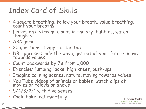## Index Card of Skills

- 4 square breathing, follow your breath, value breathing, count your breaths
- Leaves on a stream, clouds in the sky, bubbles, watch thoughts
- ABC game
- 20 questions, I Spy, tic tac toe
- DBT phrases: ride the wave, get out of your future, move towards values
- Count backwards by 7's from 1,000
- Exercise: jumping jacks, high knees, push-ups
- Imagine calming scenes, nature, moving towards values
- You Tube videos of animals or babies, watch clips of movies or television shows
- 5/4/3/2/1 with five senses
- Cook, bake, eat mindfully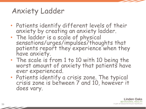#### Anxiety Ladder

- Patients identify different levels of their anxiety by creating an anxiety ladder.
- The ladder is a scale of physical sensations/urges/impulses/thoughts that patients report they experience when they have anxiety.
- The scale is from 1 to 10 with 10 being the worst amount of anxiety that patients have ever experienced.
- Patients identify a crisis zone. The typical crisis zone is between 7 and 10, however it does vary.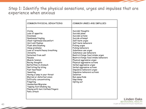#### Step 1: Identify the physical sensations, urges and impulses that are experience when anxious

| COMMON PHYSICAL SENSATIONS                                                                                                                                                                                                                                                                                                                                                                                                                                                                                                                                                   | COMMON URGES AND IMPULSES                                                                                                                                                                                                                                                                                                                                                                                                                                                                                                                |
|------------------------------------------------------------------------------------------------------------------------------------------------------------------------------------------------------------------------------------------------------------------------------------------------------------------------------------------------------------------------------------------------------------------------------------------------------------------------------------------------------------------------------------------------------------------------------|------------------------------------------------------------------------------------------------------------------------------------------------------------------------------------------------------------------------------------------------------------------------------------------------------------------------------------------------------------------------------------------------------------------------------------------------------------------------------------------------------------------------------------------|
| Crying<br>Loss of appetite<br>Dizziness<br>Numbness/tingling<br>Chest tightness/discomfort<br>Hot/cold flashes<br>Flush skin/blushing<br>Sleep problems<br>Loss of breath/heavy breathing<br>Unreality<br>Detached from self<br>Nausea<br>Muscle tension<br>Racing thoughts<br>Butterflies in stomach<br>Nail biting/lip biting<br>Fast heartbeat<br>Sweating<br>Having a lump in your throat<br>Blurred or distorted vision<br>Difficulty concentrating<br>Fidgeting<br>Headaches/Migraine<br>Tapping foot/shaking leg<br>Playing with hair/clothes/fingers<br>Panic attack | Suicidal thoughts<br>Suicidal plans<br>Suicidal actions<br>Suicide attempt<br>Self-harm urges<br>Self-harm behaviors<br>Picking urges<br>Picking behaviors<br>Substance use urges<br>Substance use behaviors<br>Restrict/binge food intake urges<br>Restrict/binge food intake behaviors<br>Physical aggressive urges<br>Physical aggressive actions<br>Verbal aggressive urges<br>Verbal aggressive actions<br>Impulsive behaviors urges<br>Impulsive behaviors actions<br><b>Isolation</b><br>Run away/hide<br>Nap/sleep<br>Opting out |

**Linden Oaks BEHAVIORAL HEALTH** A part of Edward-Elmhurst Healthcare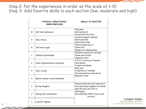#### Step 2: Put the experiences in order on the scale of 1-10 Step 3: Add favorite skills to each section (low, moderate and high)

|                | PHYSICAL SENSATIONS/<br>URGES/IMPULSES | <b>SKILLS TO PRACTICE</b>                                                                                                       |
|----------------|----------------------------------------|---------------------------------------------------------------------------------------------------------------------------------|
| 10             | Self-harm behaviors                    | ABC game<br>Self-soothe kit<br>Stress ball/Silly Putty                                                                          |
| 9              | Panic attack                           | Vacation (support system)<br>Word searches<br>Gum/mints/candy<br>Count backwards by 7<br>Draw/color<br>Imagery of calming scene |
| 8              | Self-harm urges                        |                                                                                                                                 |
| $\overline{7}$ | Stomach ache/nausea                    | Defusion (Leaves on a stream)<br>Follow your breath<br>Opposite action                                                          |
| 6              | Chest tightness/heavy breathing        | 5-4-3-2-1 with your 5 senses<br>Drop anchor<br>4 square breathing                                                               |
| 5              | Heart racing                           | Body scan<br>Acceptance of feelings<br>Increase positive experiences                                                            |
| $\overline{4}$ | Muscle tension in neck/shoulders       | Beginner's mind                                                                                                                 |
| 3              | Racing thoughts                        | Observe/describe your experience<br>Participate/get engaged in situation<br>Ride the wave (sit with it)                         |
| $\overline{c}$ | Playing with clothes/hair              | Willingness<br>One-mindfully (100% focus on one<br>activity)                                                                    |
| $\mathbf{1}$   | Leg/foot tapping                       |                                                                                                                                 |

**Linden Oaks BEHAVIORAL HEALTH** A part of Edward-Elmhurst Healthcare

41

 $\overline{\phantom{a}}$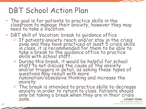#### DBT School Action Plan

- The goal is for patients to practice skills in the classroom to manage their anxiety, however they may need to take a Vacation.
- DBT skill of Vacation: break to guidance office
	- $\checkmark$  If patients anxiety reach and/or stay in the crisis zone and they have practiced at least 5 crisis skills in class, it is recommended for them to be able to take a break to the guidance office to practice<br>skills with school staff.
	- <sup>ü</sup> During this break, it would be helpful for school staff to not discuss the cause of the anxiety and/or triggers in detail, as asking these types of questions may result with more rumination/obsessive thinking and increase the anxiety.
	- <sup>ü</sup> The break is intended to practice skills to decrease anxiety in order to return to class. Patients should only be taking a break when they are in their crisis zone. Linden Oaks **BEHAVIORAL HEALTH**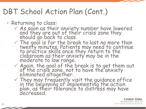## DBT School Action Plan (Cont.)

- Returning to class:
	- $\checkmark$  As soon as their anxiety number have lowered and they are out of the'ir crisis zone they<br>should go back to class.
	- <sup>ü</sup> The goal is for the break to last no more than twenty minutes. Patients may need to continue to practice skills once they return to the classroom as their anxiety may be in the moderate to low range.
	- $\checkmark$  Again, the goal of the break is to get them out of the crisis zone, not to have the anxiety eliminated altogether.
	- <sup>ü</sup> They may frequently visit the guidance office in the beginning of implementing the action plan, as their tolerance to distress may have decreased.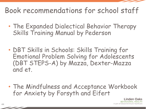#### Book recommendations for school staff

- The Expanded Dialectical Behavior Therapy Skills Training Manual by Pederson
- DBT Skills in Schools: Skills Training for Emotional Problem Solving for Adolescents (DBT STEPS-A) by Mazza, Dexter-Mazza and et.
- The Mindfulness and Acceptance Workbook for Anxiety by Forsyth and Eifert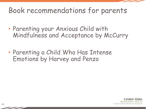#### Book recommendations for parents

- Parenting your Anxious Child with Mindfulness and Acceptance by McCurry
- Parenting a Child Who Has Intense Emotions by Harvey and Penzo